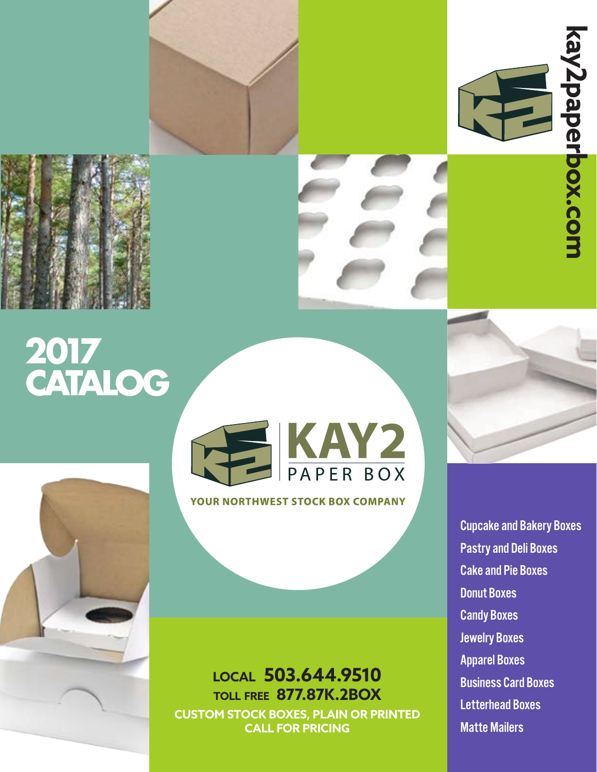





# **2017 CATALOG**



**YOUR NORTHWEST STOCK BOX COMPANY** 

### **local 503.644.9510 toll free 877.87K.2BOX CUSTOM STOCK BOXES, PLAIN OR PRINTED CALL FOR PRICING**

Cupcake and Bakery Boxes Pastry and Deli Boxes Cake and Pie Boxes Donut Boxes Candy Boxes Jewelry Boxes Apparel Boxes Business Card Boxes Letterhead Boxes Matte Mailers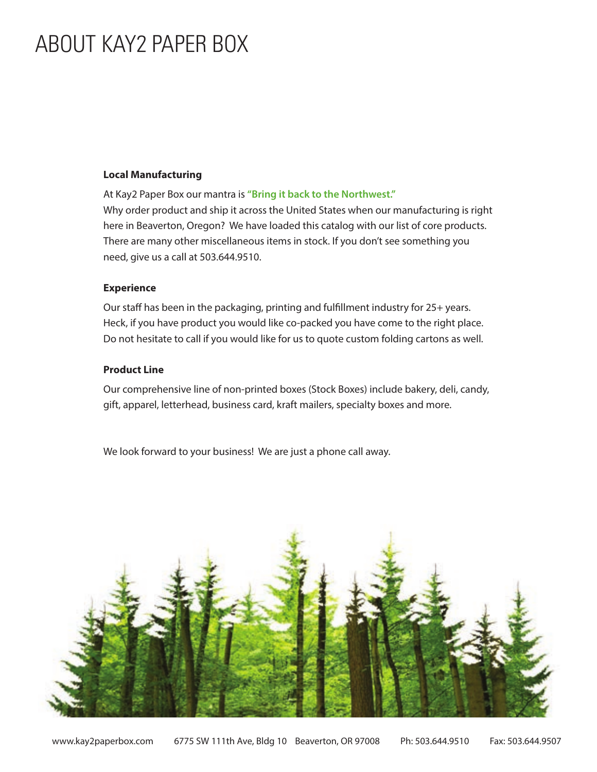## ABOUT KAY2 PAPER BOX

### **Local Manufacturing**

At Kay2 Paper Box our mantra is **"Bring it back to the Northwest."** Why order product and ship it across the United States when our manufacturing is right here in Beaverton, Oregon? We have loaded this catalog with our list of core products. There are many other miscellaneous items in stock. If you don't see something you need, give us a call at 503.644.9510.

#### **Experience**

Our staff has been in the packaging, printing and fulfillment industry for 25+ years. Heck, if you have product you would like co-packed you have come to the right place. Do not hesitate to call if you would like for us to quote custom folding cartons as well.

### **Product Line**

Our comprehensive line of non-printed boxes (Stock Boxes) include bakery, deli, candy, gift, apparel, letterhead, business card, kraft mailers, specialty boxes and more.

We look forward to your business! We are just a phone call away.

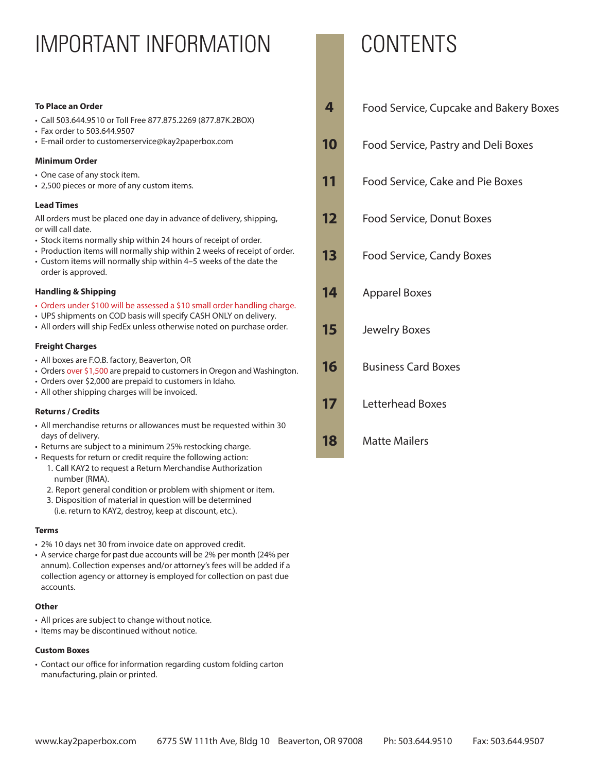## IMPORTANT INFORMATION CONTENTS

#### **To Place an Order**

- Call 503.644.9510 or Toll Free 877.875.2269 (877.87K.2BOX)
- Fax order to 503.644.9507
- E-mail order to customerservice@kay2paperbox.com

#### **Minimum Order**

- One case of any stock item.
- 2,500 pieces or more of any custom items.

#### **Lead Times**

All orders must be placed one day in advance of delivery, shipping, or will call date.

- Stock items normally ship within 24 hours of receipt of order.
- Production items will normally ship within 2 weeks of receipt of order.
- Custom items will normally ship within 4–5 weeks of the date the order is approved.

#### **Handling & Shipping**

- Orders under \$100 will be assessed a \$10 small order handling charge.
- UPS shipments on COD basis will specify CASH ONLY on delivery.
- All orders will ship FedEx unless otherwise noted on purchase order.

#### **Freight Charges**

- All boxes are F.O.B. factory, Beaverton, OR
- Orders over \$1,500 are prepaid to customers in Oregon and Washington.
- Orders over \$2,000 are prepaid to customers in Idaho.
- All other shipping charges will be invoiced.

#### **Returns / Credits**

- All merchandise returns or allowances must be requested within 30 days of delivery.
- Returns are subject to a minimum 25% restocking charge.
- Requests for return or credit require the following action:
	- 1. Call KAY2 to request a Return Merchandise Authorization number (RMA).
	- 2. Report general condition or problem with shipment or item.
	- 3. Disposition of material in question will be determined (i.e. return to KAY2, destroy, keep at discount, etc.).

#### **Terms**

- 2% 10 days net 30 from invoice date on approved credit.
- A service charge for past due accounts will be 2% per month (24% per annum). Collection expenses and/or attorney's fees will be added if a collection agency or attorney is employed for collection on past due accounts.

#### **Other**

- All prices are subject to change without notice.
- Items may be discontinued without notice.

#### **Custom Boxes**

• Contact our office for information regarding custom folding carton manufacturing, plain or printed.

| 4  | <b>Food Service, Cupcake and Bakery Boxes</b> |
|----|-----------------------------------------------|
| 10 | Food Service, Pastry and Deli Boxes           |
| 11 | <b>Food Service, Cake and Pie Boxes</b>       |
| 12 | <b>Food Service, Donut Boxes</b>              |
| 13 | <b>Food Service, Candy Boxes</b>              |
| 14 | <b>Apparel Boxes</b>                          |
| 15 | <b>Jewelry Boxes</b>                          |
| 16 | <b>Business Card Boxes</b>                    |
| 17 | Letterhead Boxes                              |
| 18 | <b>Matte Mailers</b>                          |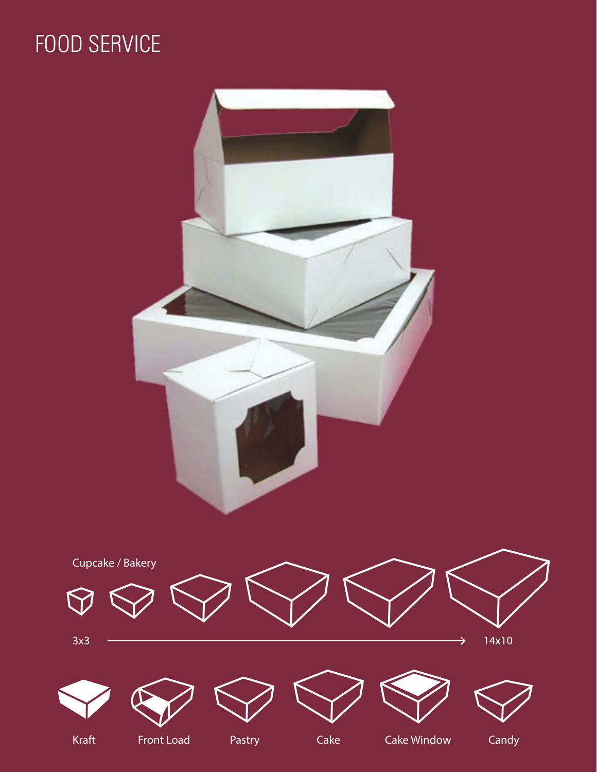## FOOD SERVICE

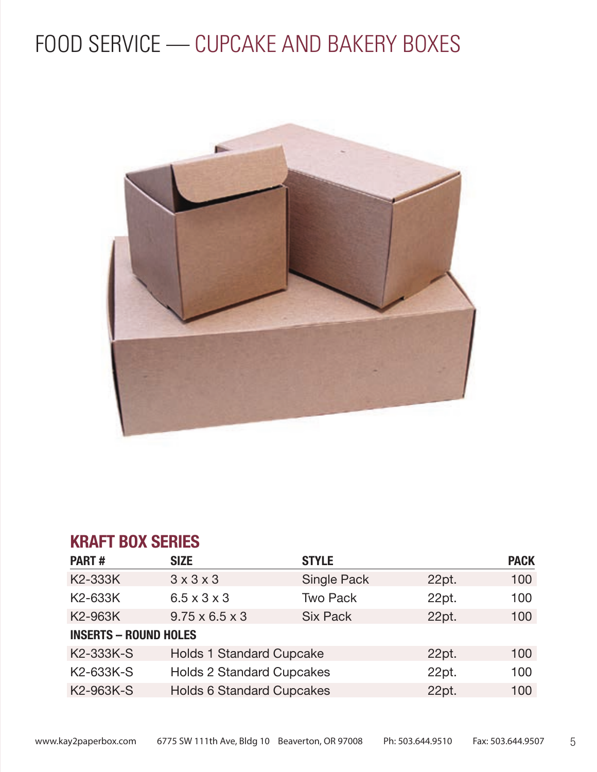

## **KRAFT BOX SERIES**

| <b>PART#</b>                 | <b>SIZE</b>                      | <b>STYLE</b>       |       | <b>PACK</b> |
|------------------------------|----------------------------------|--------------------|-------|-------------|
| K2-333K                      | $3 \times 3 \times 3$            | <b>Single Pack</b> | 22pt. | 100         |
| K2-633K                      | $6.5 \times 3 \times 3$          | <b>Two Pack</b>    | 22pt. | 100         |
| K2-963K                      | $9.75 \times 6.5 \times 3$       | <b>Six Pack</b>    | 22pt. | 100         |
| <b>INSERTS - ROUND HOLES</b> |                                  |                    |       |             |
| K2-333K-S                    | <b>Holds 1 Standard Cupcake</b>  |                    | 22pt. | 100         |
| K <sub>2</sub> -633K-S       | <b>Holds 2 Standard Cupcakes</b> |                    | 22pt. | 100         |
| K2-963K-S                    | <b>Holds 6 Standard Cupcakes</b> |                    | 22pt. | 100         |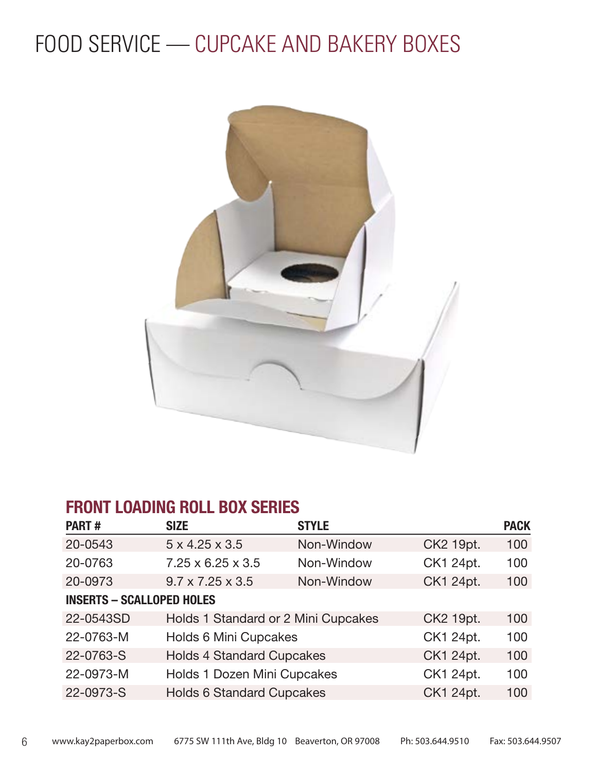

### **FRONT LOADING ROLL BOX SERIES**

| <b>PART#</b>                     | <b>SIZE</b>                         | <b>STYLE</b> |           | <b>PACK</b> |
|----------------------------------|-------------------------------------|--------------|-----------|-------------|
| 20-0543                          | $5 \times 4.25 \times 3.5$          | Non-Window   | CK2 19pt. | 100         |
| 20-0763                          | $7.25 \times 6.25 \times 3.5$       | Non-Window   | CK1 24pt. | 100         |
| 20-0973                          | $9.7 \times 7.25 \times 3.5$        | Non-Window   | CK1 24pt. | 100         |
| <b>INSERTS - SCALLOPED HOLES</b> |                                     |              |           |             |
| 22-0543SD                        | Holds 1 Standard or 2 Mini Cupcakes |              | CK2 19pt. | 100         |
| 22-0763-M                        | <b>Holds 6 Mini Cupcakes</b>        |              | CK1 24pt. | 100         |
| 22-0763-S                        | <b>Holds 4 Standard Cupcakes</b>    |              | CK1 24pt. | 100         |
| 22-0973-M                        | Holds 1 Dozen Mini Cupcakes         |              | CK1 24pt. | 100         |
| 22-0973-S                        | <b>Holds 6 Standard Cupcakes</b>    |              | CK1 24pt. | 100         |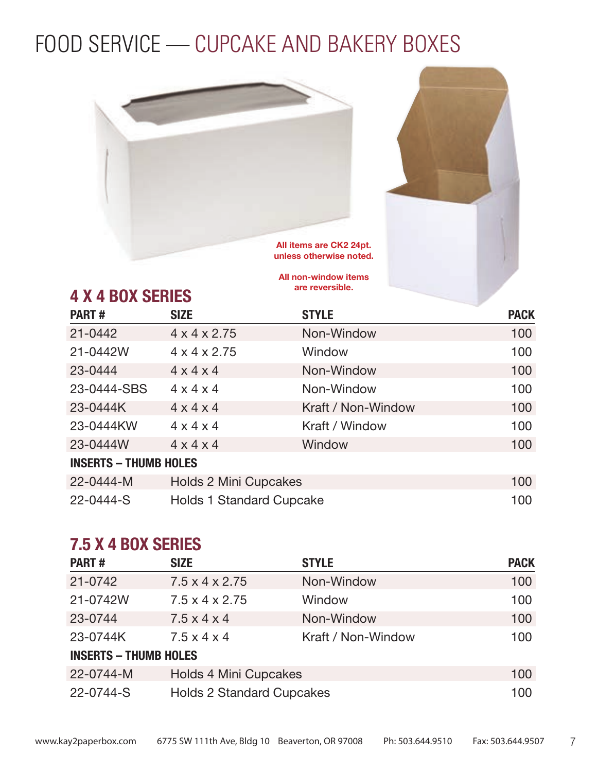



## **4 X 4 BOX SERIES**

All non-window items are reversible.

| <b>PART#</b>                 | <b>SIZE</b>                     | <b>STYLE</b>       | <b>PACK</b> |
|------------------------------|---------------------------------|--------------------|-------------|
| $21 - 0442$                  | $4 \times 4 \times 2.75$        | Non-Window         | 100         |
| 21-0442W                     | $4 \times 4 \times 2.75$        | Window             | 100         |
| 23-0444                      | $4 \times 4 \times 4$           | Non-Window         | 100         |
| 23-0444-SBS                  | $4 \times 4 \times 4$           | Non-Window         | 100         |
| 23-0444K                     | $4 \times 4 \times 4$           | Kraft / Non-Window | 100         |
| 23-0444KW                    | $4 \times 4 \times 4$           | Kraft / Window     | 100         |
| 23-0444W                     | $4 \times 4 \times 4$           | Window             | 100         |
| <b>INSERTS - THUMB HOLES</b> |                                 |                    |             |
| 22-0444-M                    | <b>Holds 2 Mini Cupcakes</b>    |                    | 100         |
| 22-0444-S                    | <b>Holds 1 Standard Cupcake</b> |                    | 100         |

### **7.5 X 4 BOX SERIES**

| <b>PART#</b>                 | <b>SIZE</b>                      | <b>STYLE</b>       | <b>PACK</b> |  |
|------------------------------|----------------------------------|--------------------|-------------|--|
| 21-0742                      | $7.5 \times 4 \times 2.75$       | Non-Window         | 100         |  |
| 21-0742W                     | $7.5 \times 4 \times 2.75$       | Window             | 100         |  |
| 23-0744                      | $7.5 \times 4 \times 4$          | Non-Window         | 100         |  |
| 23-0744K                     | $7.5 \times 4 \times 4$          | Kraft / Non-Window | 100         |  |
| <b>INSERTS - THUMB HOLES</b> |                                  |                    |             |  |
| 22-0744-M                    | <b>Holds 4 Mini Cupcakes</b>     |                    | 100         |  |
| 22-0744-S                    | <b>Holds 2 Standard Cupcakes</b> |                    | 100         |  |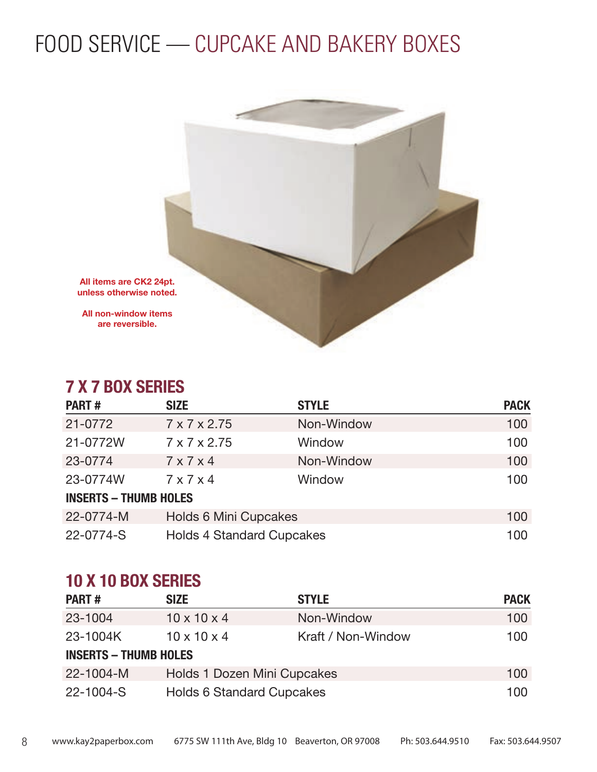

### **7 X 7 BOX SERIES**

| <b>PART#</b>                 | <b>SIZE</b>                      | <b>STYLE</b> | <b>PACK</b> |  |
|------------------------------|----------------------------------|--------------|-------------|--|
| 21-0772                      | $7 \times 7 \times 2.75$         | Non-Window   | 100         |  |
| 21-0772W                     | 7 x 7 x 2.75                     | Window       | 100         |  |
| 23-0774                      | $7 \times 7 \times 4$            | Non-Window   | 100         |  |
| 23-0774W                     | $7 \times 7 \times 4$            | Window       | 100         |  |
| <b>INSERTS - THUMB HOLES</b> |                                  |              |             |  |
| 22-0774-M                    | <b>Holds 6 Mini Cupcakes</b>     |              | 100         |  |
| 22-0774-S                    | <b>Holds 4 Standard Cupcakes</b> |              | 100         |  |

### **10 X 10 BOX SERIES**

| <b>PART#</b>                 | <b>SIZE</b>                      | <b>STYLE</b>       | <b>PACK</b> |
|------------------------------|----------------------------------|--------------------|-------------|
| 23-1004                      | $10 \times 10 \times 4$          | Non-Window         | 100         |
| 23-1004K                     | $10 \times 10 \times 4$          | Kraft / Non-Window | 100         |
| <b>INSERTS - THUMB HOLES</b> |                                  |                    |             |
| 22-1004-M                    | Holds 1 Dozen Mini Cupcakes      |                    | 100         |
| 22-1004-S                    | <b>Holds 6 Standard Cupcakes</b> |                    | 100         |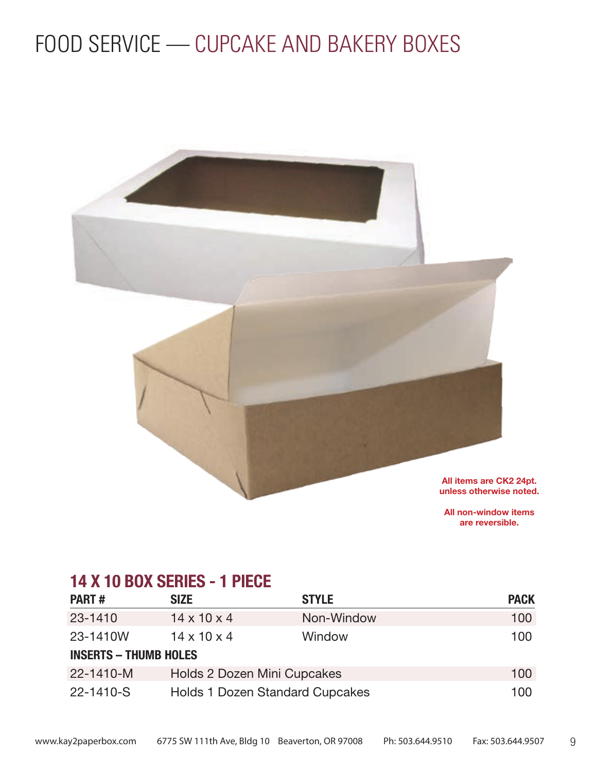

All non-window items are reversible.

### **14 X 10 BOX SERIES - 1 PIECE**

| <b>PART#</b>                 | <b>SIZE</b>                 | <b>STYLE</b>                           | <b>PACK</b> |
|------------------------------|-----------------------------|----------------------------------------|-------------|
| 23-1410                      | $14 \times 10 \times 4$     | Non-Window                             | 100         |
| 23-1410W                     | $14 \times 10 \times 4$     | Window                                 | 100         |
| <b>INSERTS - THUMB HOLES</b> |                             |                                        |             |
| 22-1410-M                    | Holds 2 Dozen Mini Cupcakes |                                        | 100         |
| 22-1410-S                    |                             | <b>Holds 1 Dozen Standard Cupcakes</b> | 100         |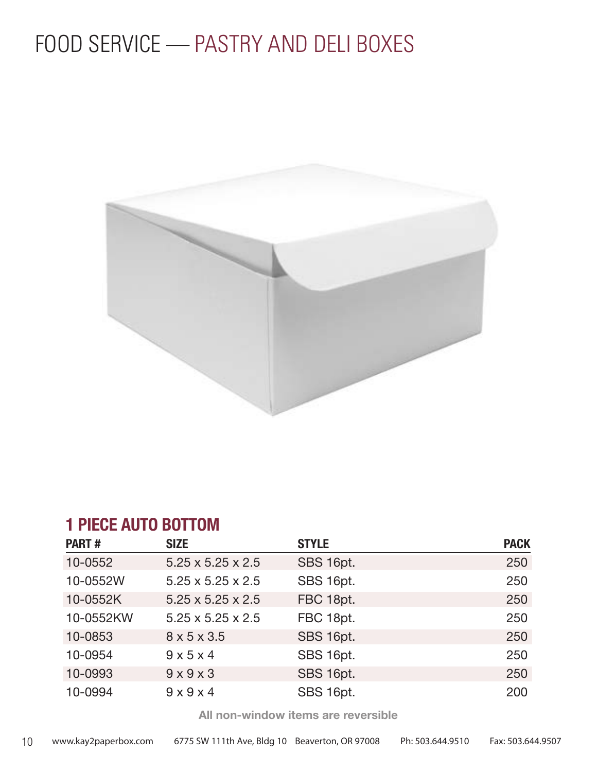## FOOD SERVICE — PASTRY AND DELI BOXES



### **1 PIECE AUTO BOTTOM**

| <b>PART#</b> | <b>SIZE</b>                   | <b>STYLE</b> | <b>PACK</b> |
|--------------|-------------------------------|--------------|-------------|
| 10-0552      | $5.25 \times 5.25 \times 2.5$ | SBS 16pt.    | 250         |
| 10-0552W     | $5.25 \times 5.25 \times 2.5$ | SBS 16pt.    | 250         |
| 10-0552K     | $5.25 \times 5.25 \times 2.5$ | FBC 18pt.    | 250         |
| 10-0552KW    | $5.25 \times 5.25 \times 2.5$ | FBC 18pt.    | 250         |
| 10-0853      | $8 \times 5 \times 3.5$       | SBS 16pt.    | 250         |
| 10-0954      | $9 \times 5 \times 4$         | SBS 16pt.    | 250         |
| 10-0993      | $9 \times 9 \times 3$         | SBS 16pt.    | 250         |
| 10-0994      | $9 \times 9 \times 4$         | SBS 16pt.    | 200         |

All non-window items are reversible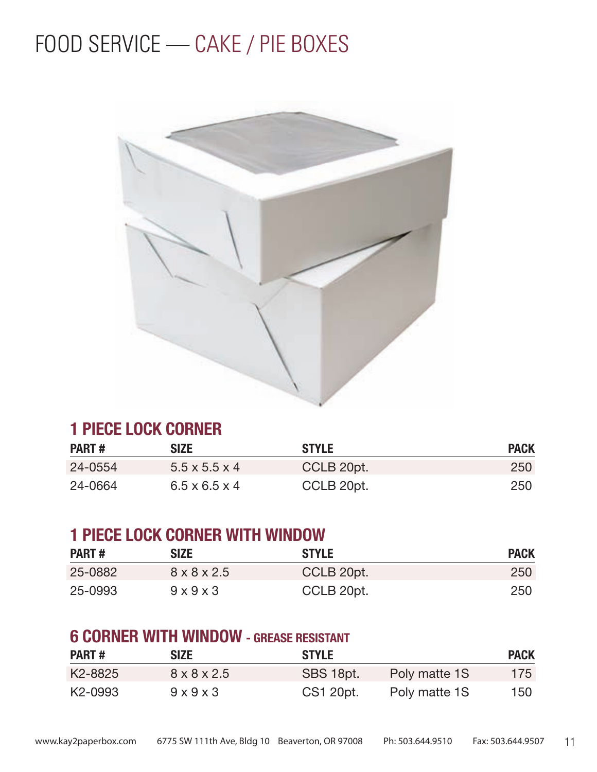## FOOD SERVICE — CAKE / PIE BOXES



### **1 PIECE LOCK CORNER**

| <b>PART#</b> | <b>SIZE</b>               | <b>STYLE</b> | <b>PACK</b> |
|--------------|---------------------------|--------------|-------------|
| 24-0554      | $5.5 \times 5.5 \times 4$ | CCLB 20pt.   | 250         |
| 24-0664      | $6.5 \times 6.5 \times 4$ | CCLB 20pt.   | 250         |

### **1 PIECE LOCK CORNER WITH WINDOW**

| <b>PART#</b> | <b>SIZE</b>             | <b>STYLE</b> | <b>PACK</b> |
|--------------|-------------------------|--------------|-------------|
| 25-0882      | $8 \times 8 \times 2.5$ | CCLB 20pt.   | 250         |
| 25-0993      | $9 \times 9 \times 3$   | CCLB 20pt.   | 250         |

### **6 CORNER WITH WINDOW - GREASE RESISTANT**

| <b>PART#</b> | <b>SIZE</b>             | <b>STYLE</b> |               | <b>PACK</b> |
|--------------|-------------------------|--------------|---------------|-------------|
| K2-8825      | $8 \times 8 \times 2.5$ | SBS 18pt.    | Poly matte 1S | 175         |
| K2-0993      | $9 \times 9 \times 3$   | CS1 20pt.    | Poly matte 1S | 150         |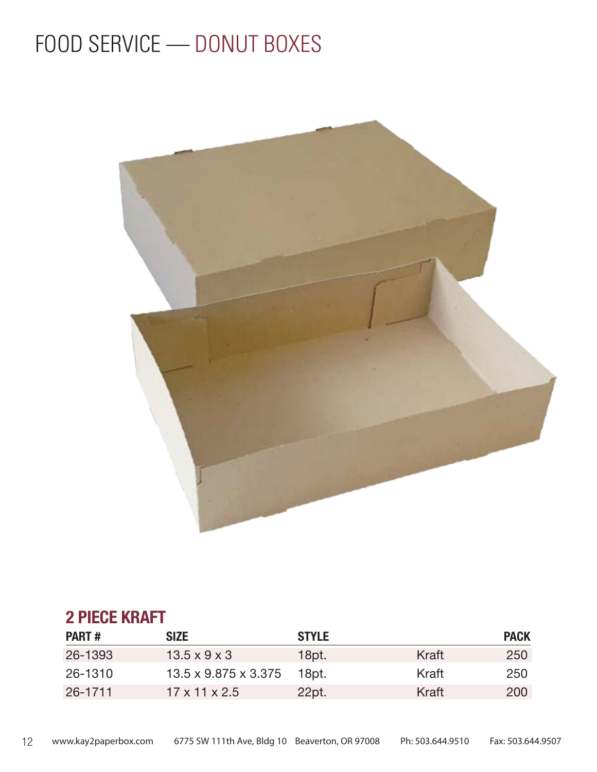## FOOD SERVICE — DONUT BOXES



### **2 PIECE KRAFT**

| <b>PART#</b> | <b>SIZE</b>                      | <b>STYLE</b> |       | <b>PACK</b> |
|--------------|----------------------------------|--------------|-------|-------------|
| 26-1393      | $13.5 \times 9 \times 3$         | 18pt.        | Kraft | 250         |
| 26-1310      | $13.5 \times 9.875 \times 3.375$ | 18pt.        | Kraft | 250         |
| 26-1711      | $17 \times 11 \times 2.5$        | 22pt.        | Kraft | 200         |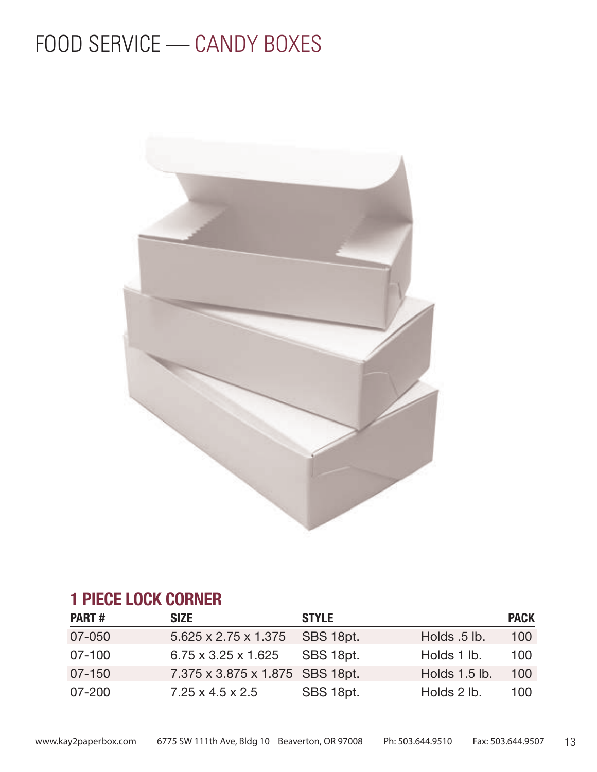## FOOD SERVICE - CANDY BOXES



### **1 PIECE LOCK CORNER**

| <b>PART#</b> | <b>SIZE</b>                      | <b>STYLE</b> |               | <b>PACK</b> |
|--------------|----------------------------------|--------------|---------------|-------------|
| 07-050       | $5.625 \times 2.75 \times 1.375$ | SBS 18pt.    | Holds .5 lb.  | 100         |
| $07 - 100$   | $6.75 \times 3.25 \times 1.625$  | SBS 18pt.    | Holds 1 lb.   | 100         |
| 07-150       | 7.375 x 3.875 x 1.875 SBS 18pt.  |              | Holds 1.5 lb. | 100         |
| $07 - 200$   | $7.25 \times 4.5 \times 2.5$     | SBS 18pt.    | Holds 2 lb.   | 100         |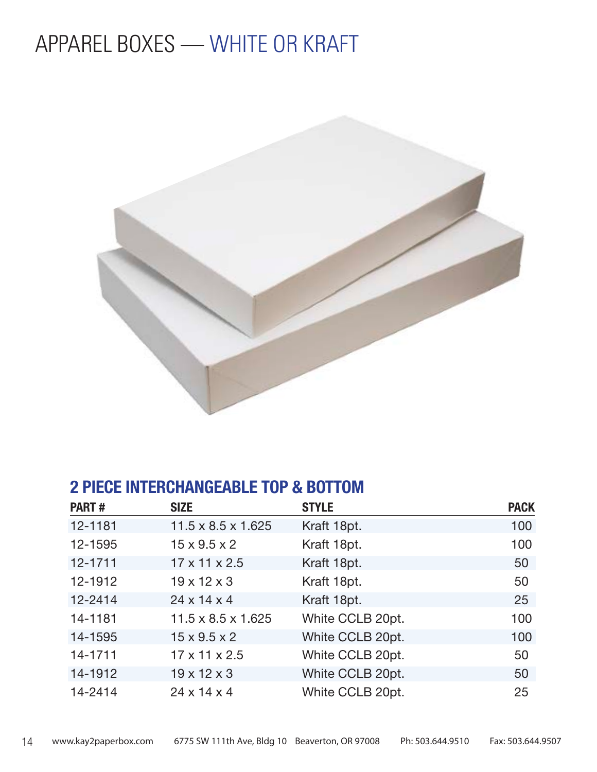## APPAREL BOXES — WHITE OR KRAFT



### **2 PIECE INTERCHANGEABLE TOP & BOTTOM**

| <b>PART#</b> | <b>SIZE</b>                    | <b>STYLE</b>     | <b>PACK</b> |
|--------------|--------------------------------|------------------|-------------|
| 12-1181      | $11.5 \times 8.5 \times 1.625$ | Kraft 18pt.      | 100         |
| 12-1595      | $15 \times 9.5 \times 2$       | Kraft 18pt.      | 100         |
| 12-1711      | $17 \times 11 \times 2.5$      | Kraft 18pt.      | 50          |
| 12-1912      | $19 \times 12 \times 3$        | Kraft 18pt.      | 50          |
| 12-2414      | $24 \times 14 \times 4$        | Kraft 18pt.      | 25          |
| 14-1181      | $11.5 \times 8.5 \times 1.625$ | White CCLB 20pt. | 100         |
| 14-1595      | $15 \times 9.5 \times 2$       | White CCLB 20pt. | 100         |
| 14-1711      | $17 \times 11 \times 2.5$      | White CCLB 20pt. | 50          |
| 14-1912      | $19 \times 12 \times 3$        | White CCLB 20pt. | 50          |
| 14-2414      | $24 \times 14 \times 4$        | White CCLB 20pt. | 25          |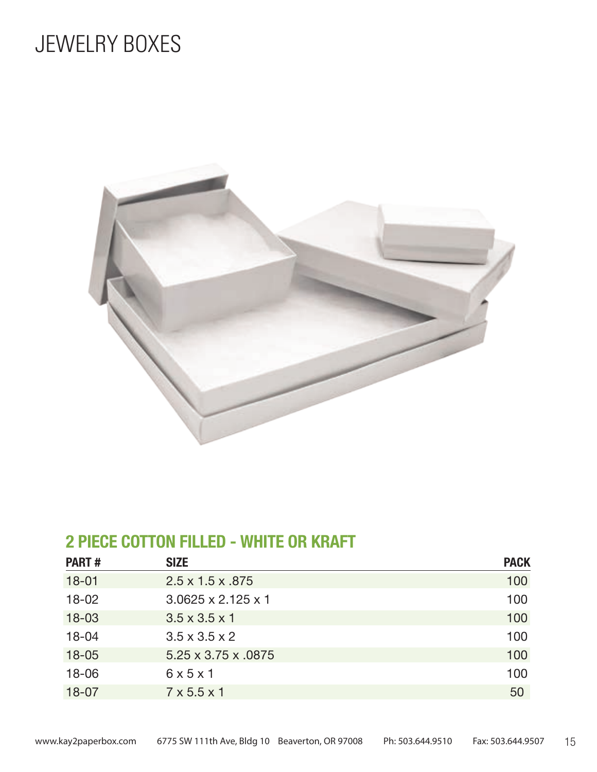## JEWELRY BOXES



### **2 PIECE COTTON FILLED - WHITE OR KRAFT**

| <b>PART#</b> | <b>SIZE</b>                      | <b>PACK</b> |
|--------------|----------------------------------|-------------|
| $18 - 01$    | $2.5 \times 1.5 \times .875$     | 100         |
| $18 - 02$    | $3.0625 \times 2.125 \times 1$   | 100         |
| $18 - 03$    | $3.5 \times 3.5 \times 1$        | 100         |
| $18 - 04$    | $3.5 \times 3.5 \times 2$        | 100         |
| $18 - 05$    | $5.25 \times 3.75 \times 0.0875$ | 100         |
| $18 - 06$    | 6x5x1                            | 100         |
| $18 - 07$    | $7 \times 5.5 \times 1$          | 50          |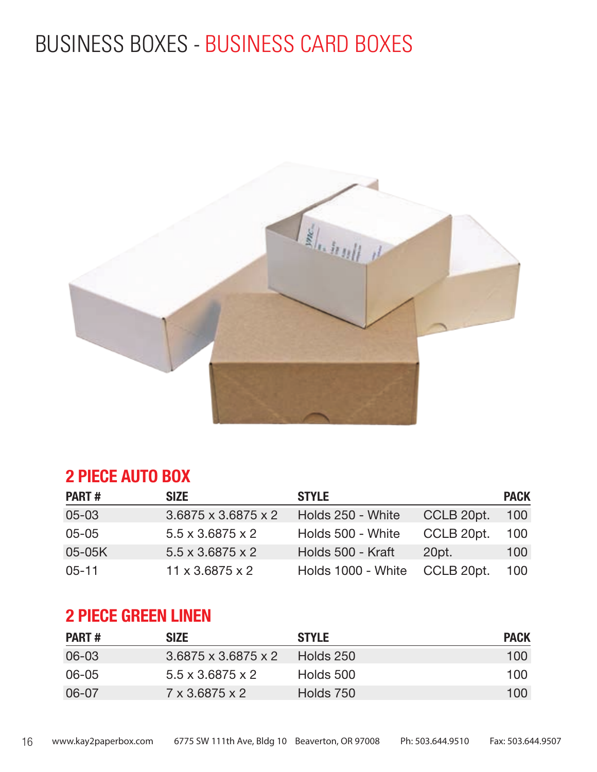## BUSINESS BOXES - BUSINESS CARD BOXES



### **2 PIECE AUTO BOX**

| <b>PART#</b> | <b>SIZE</b>                     | <b>STYLE</b>       |            | <b>PACK</b> |
|--------------|---------------------------------|--------------------|------------|-------------|
| $05 - 03$    | $3.6875 \times 3.6875 \times 2$ | Holds 250 - White  | CCLB 20pt. | 100         |
| $05 - 05$    | $5.5 \times 3.6875 \times 2$    | Holds 500 - White  | CCLB 20pt. | 100         |
| 05-05K       | $5.5 \times 3.6875 \times 2$    | Holds 500 - Kraft  | 20pt.      | 100         |
| $05 - 11$    | $11 \times 3.6875 \times 2$     | Holds 1000 - White | CCLB 20pt. | 100         |

### **2 PIECE GREEN LINEN**

| <b>PART#</b> | <b>SIZE</b>                     | <b>STYLE</b> | <b>PACK</b> |
|--------------|---------------------------------|--------------|-------------|
| 06-03        | $3.6875 \times 3.6875 \times 2$ | Holds 250    | 100         |
| 06-05        | $5.5 \times 3.6875 \times 2$    | Holds 500    | 100         |
| 06-07        | $7 \times 3.6875 \times 2$      | Holds 750    | 100         |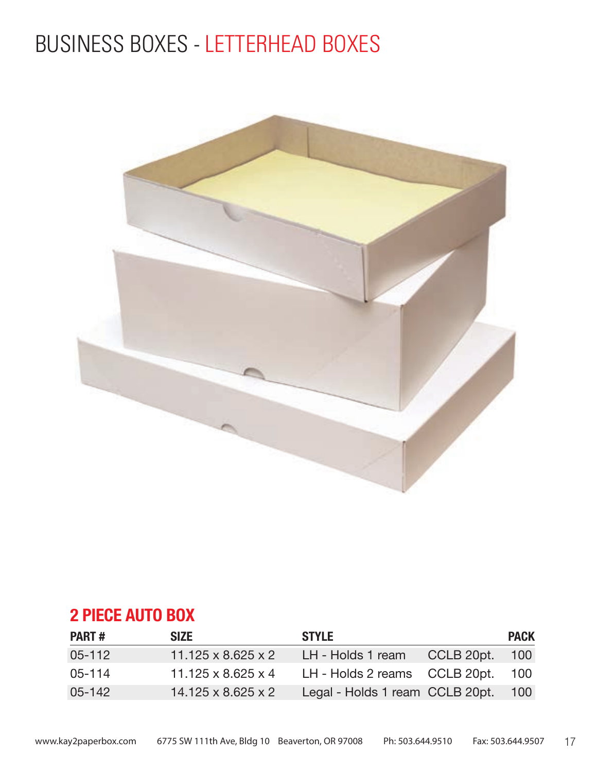## BUSINESS BOXES - LETTERHEAD BOXES



### **2 PIECE AUTO BOX**

| <b>PART#</b> | <b>SIZE</b>                    | <b>STYLE</b>                    |            | <b>PACK</b>      |
|--------------|--------------------------------|---------------------------------|------------|------------------|
| $05 - 112$   | $11.125 \times 8.625 \times 2$ | LH - Holds 1 ream               | CCLB 20pt. | 100 <sup>°</sup> |
| $05 - 114$   | $11.125 \times 8.625 \times 4$ | LH - Holds 2 reams CCLB 20pt.   |            | 100              |
| $05 - 142$   | $14.125 \times 8.625 \times 2$ | Legal - Holds 1 ream CCLB 20pt. |            | 100              |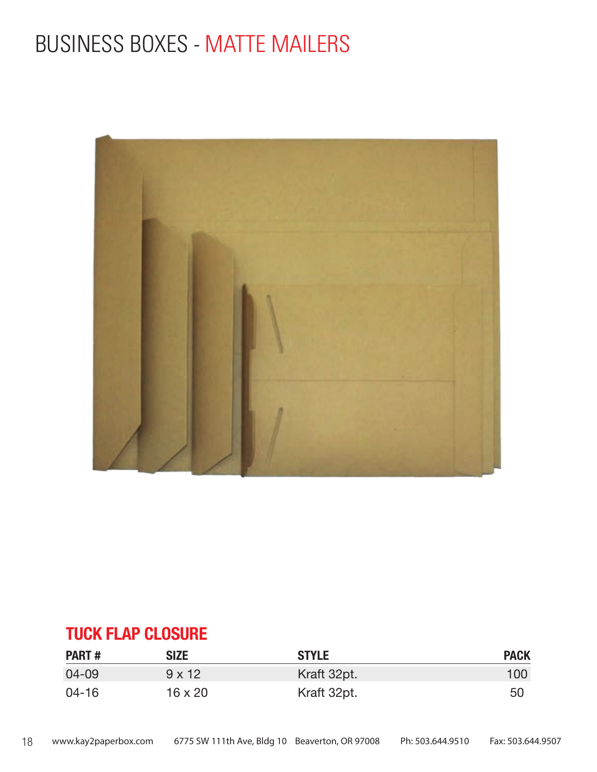## BUSINESS BOXES - MATTE MAILERS



### **TUCK FLAP CLOSURE**

| <b>PART#</b> | <b>SIZE</b>    | <b>STYLE</b> | <b>PACK</b>      |
|--------------|----------------|--------------|------------------|
| 04-09        | $9 \times 12$  | Kraft 32pt.  | 100 <sub>1</sub> |
| $04 - 16$    | $16 \times 20$ | Kraft 32pt.  | 50               |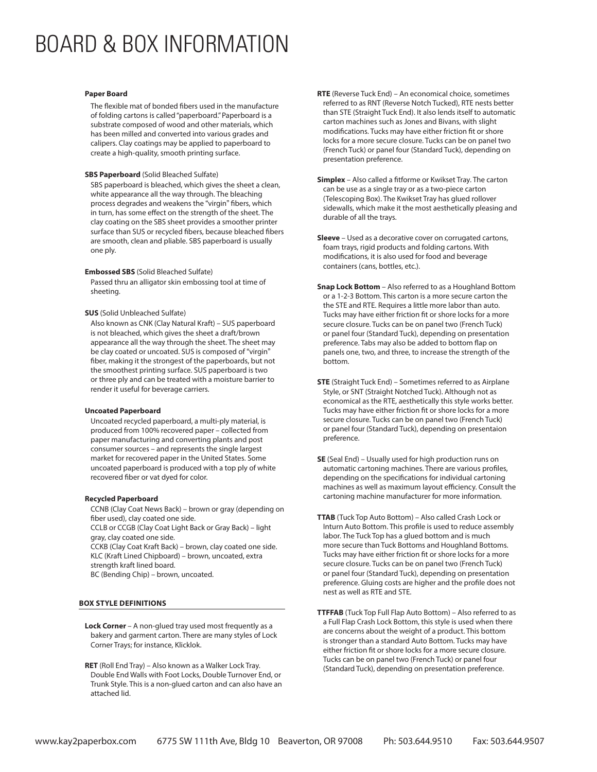## BOARD & BOX INFORMATION

#### **Paper Board**

The flexible mat of bonded fibers used in the manufacture of folding cartons is called "paperboard." Paperboard is a substrate composed of wood and other materials, which has been milled and converted into various grades and calipers. Clay coatings may be applied to paperboard to create a high-quality, smooth printing surface.

#### **SBS Paperboard** (Solid Bleached Sulfate)

SBS paperboard is bleached, which gives the sheet a clean, white appearance all the way through. The bleaching process degrades and weakens the "virgin" fibers, which in turn, has some effect on the strength of the sheet. The clay coating on the SBS sheet provides a smoother printer surface than SUS or recycled fibers, because bleached fibers are smooth, clean and pliable. SBS paperboard is usually one ply.

#### **Embossed SBS** (Solid Bleached Sulfate)

Passed thru an alligator skin embossing tool at time of sheeting.

#### **SUS** (Solid Unbleached Sulfate)

Also known as CNK (Clay Natural Kraft) – SUS paperboard is not bleached, which gives the sheet a draft/brown appearance all the way through the sheet. The sheet may be clay coated or uncoated. SUS is composed of "virgin" fiber, making it the strongest of the paperboards, but not the smoothest printing surface. SUS paperboard is two or three ply and can be treated with a moisture barrier to render it useful for beverage carriers.

#### **Uncoated Paperboard**

Uncoated recycled paperboard, a multi-ply material, is produced from 100% recovered paper – collected from paper manufacturing and converting plants and post consumer sources – and represents the single largest market for recovered paper in the United States. Some uncoated paperboard is produced with a top ply of white recovered fiber or vat dyed for color.

#### **Recycled Paperboard**

CCNB (Clay Coat News Back) – brown or gray (depending on fiber used), clay coated one side. CCLB or CCGB (Clay Coat Light Back or Gray Back) – light gray, clay coated one side. CCKB (Clay Coat Kraft Back) – brown, clay coated one side. KLC (Kraft Lined Chipboard) – brown, uncoated, extra strength kraft lined board.

BC (Bending Chip) – brown, uncoated.

#### **BOX STYLE DEFINITIONS**

- **Lock Corner**  A non-glued tray used most frequently as a bakery and garment carton. There are many styles of Lock Corner Trays; for instance, Klicklok.
- **RET** (Roll End Tray) Also known as a Walker Lock Tray. Double End Walls with Foot Locks, Double Turnover End, or Trunk Style. This is a non-glued carton and can also have an attached lid.
- **RTE** (Reverse Tuck End) An economical choice, sometimes referred to as RNT (Reverse Notch Tucked), RTE nests better than STE (Straight Tuck End). It also lends itself to automatic carton machines such as Jones and Bivans, with slight modifications. Tucks may have either friction fit or shore locks for a more secure closure. Tucks can be on panel two (French Tuck) or panel four (Standard Tuck), depending on presentation preference.
- **Simplex** Also called a fitforme or Kwikset Tray. The carton can be use as a single tray or as a two-piece carton (Telescoping Box). The Kwikset Tray has glued rollover sidewalls, which make it the most aesthetically pleasing and durable of all the trays.
- **Sleeve** Used as a decorative cover on corrugated cartons, foam trays, rigid products and folding cartons. With modifications, it is also used for food and beverage containers (cans, bottles, etc.).
- **Snap Lock Bottom** Also referred to as a Houghland Bottom or a 1-2-3 Bottom. This carton is a more secure carton the the STE and RTE. Requires a little more labor than auto. Tucks may have either friction fit or shore locks for a more secure closure. Tucks can be on panel two (French Tuck) or panel four (Standard Tuck), depending on presentation preference. Tabs may also be added to bottom flap on panels one, two, and three, to increase the strength of the bottom.
- **STE** (Straight Tuck End) Sometimes referred to as Airplane Style, or SNT (Straight Notched Tuck). Although not as economical as the RTE, aesthetically this style works better. Tucks may have either friction fit or shore locks for a more secure closure. Tucks can be on panel two (French Tuck) or panel four (Standard Tuck), depending on presentaion preference.
- **SE** (Seal End) Usually used for high production runs on automatic cartoning machines. There are various profiles, depending on the specifications for individual cartoning machines as well as maximum layout efficiency. Consult the cartoning machine manufacturer for more information.
- **TTAB** (Tuck Top Auto Bottom) Also called Crash Lock or Inturn Auto Bottom. This profile is used to reduce assembly labor. The Tuck Top has a glued bottom and is much more secure than Tuck Bottoms and Houghland Bottoms. Tucks may have either friction fit or shore locks for a more secure closure. Tucks can be on panel two (French Tuck) or panel four (Standard Tuck), depending on presentation preference. Gluing costs are higher and the profile does not nest as well as RTE and STE.
- **TTFFAB** (Tuck Top Full Flap Auto Bottom) Also referred to as a Full Flap Crash Lock Bottom, this style is used when there are concerns about the weight of a product. This bottom is stronger than a standard Auto Bottom. Tucks may have either friction fit or shore locks for a more secure closure. Tucks can be on panel two (French Tuck) or panel four (Standard Tuck), depending on presentation preference.